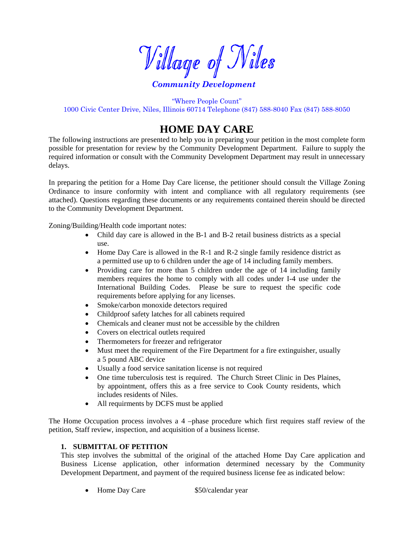Village of Niles

# *Community Development*

"Where People Count" 1000 Civic Center Drive, Niles, Illinois 60714 Telephone (847) 588-8040 Fax (847) 588-8050

# **HOME DAY CARE**

The following instructions are presented to help you in preparing your petition in the most complete form possible for presentation for review by the Community Development Department. Failure to supply the required information or consult with the Community Development Department may result in unnecessary delays.

In preparing the petition for a Home Day Care license, the petitioner should consult the Village Zoning Ordinance to insure conformity with intent and compliance with all regulatory requirements (see attached). Questions regarding these documents or any requirements contained therein should be directed to the Community Development Department.

Zoning/Building/Health code important notes:

- Child day care is allowed in the B-1 and B-2 retail business districts as a special use.
- Home Day Care is allowed in the R-1 and R-2 single family residence district as a permitted use up to 6 children under the age of 14 including family members.
- Providing care for more than 5 children under the age of 14 including family members requires the home to comply with all codes under I-4 use under the International Building Codes. Please be sure to request the specific code requirements before applying for any licenses.
- Smoke/carbon monoxide detectors required
- Childproof safety latches for all cabinets required
- Chemicals and cleaner must not be accessible by the children
- Covers on electrical outlets required
- Thermometers for freezer and refrigerator
- Must meet the requirement of the Fire Department for a fire extinguisher, usually a 5 pound ABC device
- Usually a food service sanitation license is not required
- One time tuberculosis test is required. The Church Street Clinic in Des Plaines, by appointment, offers this as a free service to Cook County residents, which includes residents of Niles.
- All requirments by DCFS must be applied

The Home Occupation process involves a 4 –phase procedure which first requires staff review of the petition, Staff review, inspection, and acquisition of a business license.

#### **1. SUBMITTAL OF PETITION**

This step involves the submittal of the original of the attached Home Day Care application and Business License application, other information determined necessary by the Community Development Department, and payment of the required business license fee as indicated below:

• Home Day Care \$50/calendar year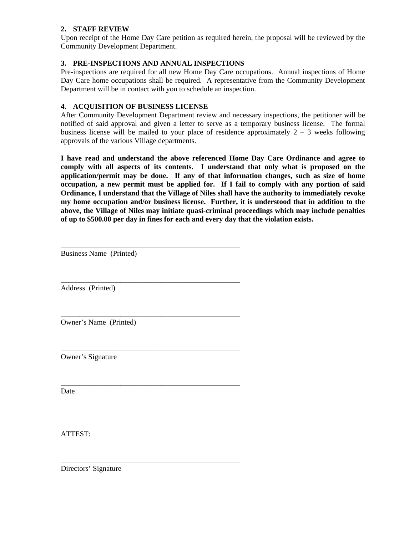# **2. STAFF REVIEW**

Upon receipt of the Home Day Care petition as required herein, the proposal will be reviewed by the Community Development Department.

# **3. PRE-INSPECTIONS AND ANNUAL INSPECTIONS**

\_\_\_\_\_\_\_\_\_\_\_\_\_\_\_\_\_\_\_\_\_\_\_\_\_\_\_\_\_\_\_\_\_\_\_\_\_\_\_\_\_\_\_\_\_\_\_\_

\_\_\_\_\_\_\_\_\_\_\_\_\_\_\_\_\_\_\_\_\_\_\_\_\_\_\_\_\_\_\_\_\_\_\_\_\_\_\_\_\_\_\_\_\_\_\_\_

\_\_\_\_\_\_\_\_\_\_\_\_\_\_\_\_\_\_\_\_\_\_\_\_\_\_\_\_\_\_\_\_\_\_\_\_\_\_\_\_\_\_\_\_\_\_\_\_

\_\_\_\_\_\_\_\_\_\_\_\_\_\_\_\_\_\_\_\_\_\_\_\_\_\_\_\_\_\_\_\_\_\_\_\_\_\_\_\_\_\_\_\_\_\_\_\_

\_\_\_\_\_\_\_\_\_\_\_\_\_\_\_\_\_\_\_\_\_\_\_\_\_\_\_\_\_\_\_\_\_\_\_\_\_\_\_\_\_\_\_\_\_\_\_\_

Pre-inspections are required for all new Home Day Care occupations. Annual inspections of Home Day Care home occupations shall be required. A representative from the Community Development Department will be in contact with you to schedule an inspection.

# **4. ACQUISITION OF BUSINESS LICENSE**

After Community Development Department review and necessary inspections, the petitioner will be notified of said approval and given a letter to serve as a temporary business license. The formal business license will be mailed to your place of residence approximately  $2 - 3$  weeks following approvals of the various Village departments.

**I have read and understand the above referenced Home Day Care Ordinance and agree to comply with all aspects of its contents. I understand that only what is proposed on the application/permit may be done. If any of that information changes, such as size of home occupation, a new permit must be applied for. If I fail to comply with any portion of said Ordinance, I understand that the Village of Niles shall have the authority to immediately revoke my home occupation and/or business license. Further, it is understood that in addition to the above, the Village of Niles may initiate quasi-criminal proceedings which may include penalties of up to \$500.00 per day in fines for each and every day that the violation exists.** 

\_\_\_\_\_\_\_\_\_\_\_\_\_\_\_\_\_\_\_\_\_\_\_\_\_\_\_\_\_\_\_\_\_\_\_\_\_\_\_\_\_\_\_\_\_\_\_\_ Business Name (Printed)

Address (Printed)

Owner's Name (Printed)

Owner's Signature

Date

ATTEST:

Directors' Signature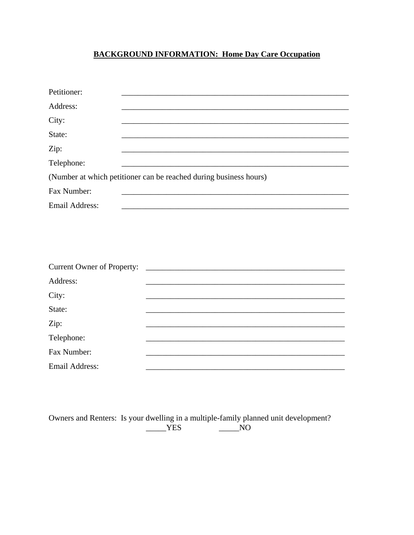# **BACKGROUND INFORMATION: Home Day Care Occupation**

| Petitioner:                |                                                                   |
|----------------------------|-------------------------------------------------------------------|
| Address:                   |                                                                   |
| City:                      |                                                                   |
| State:                     |                                                                   |
| Zip:                       |                                                                   |
| Telephone:                 |                                                                   |
|                            | (Number at which petitioner can be reached during business hours) |
| Fax Number:                |                                                                   |
| <b>Email Address:</b>      |                                                                   |
|                            |                                                                   |
| Current Owner of Property: |                                                                   |
| Address:                   |                                                                   |
| City:                      |                                                                   |
| State:                     |                                                                   |
| Zip:                       |                                                                   |
| Telephone:                 |                                                                   |
| Fax Number:                |                                                                   |
| <b>Email Address:</b>      |                                                                   |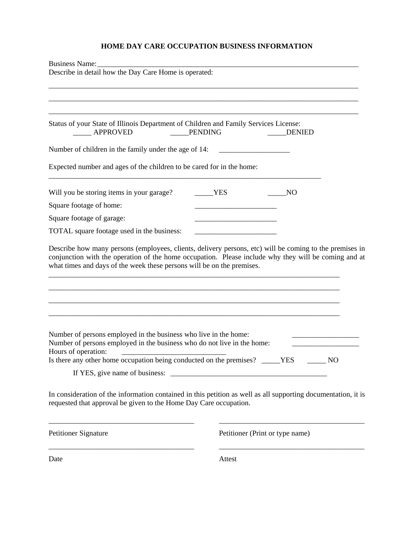# **HOME DAY CARE OCCUPATION BUSINESS INFORMATION**

| Business Name:<br>Describe in detail how the Day Care Home is operated:                                                                                                                                                                   |                |                                 |
|-------------------------------------------------------------------------------------------------------------------------------------------------------------------------------------------------------------------------------------------|----------------|---------------------------------|
|                                                                                                                                                                                                                                           |                |                                 |
|                                                                                                                                                                                                                                           |                |                                 |
|                                                                                                                                                                                                                                           |                |                                 |
| Status of your State of Illinois Department of Children and Family Services License:<br>APPROVED                                                                                                                                          | <b>PENDING</b> | <b>DENIED</b>                   |
| Number of children in the family under the age of 14:                                                                                                                                                                                     |                |                                 |
| Expected number and ages of the children to be cared for in the home:                                                                                                                                                                     |                |                                 |
| Will you be storing items in your garage?                                                                                                                                                                                                 | <b>YES</b>     | N <sub>O</sub>                  |
| Square footage of home:                                                                                                                                                                                                                   |                |                                 |
| Square footage of garage:                                                                                                                                                                                                                 |                |                                 |
| TOTAL square footage used in the business:                                                                                                                                                                                                |                |                                 |
| conjunction with the operation of the home occupation. Please include why they will be coming and at<br>what times and days of the week these persons will be on the premises.                                                            |                |                                 |
| Number of persons employed in the business who live in the home:<br>Number of persons employed in the business who do not live in the home:<br>Hours of operation:<br>Is there any other home occupation being conducted on the premises? |                | <b>YES</b><br>N <sub>O</sub>    |
| In consideration of the information contained in this petition as well as all supporting documentation, it is<br>requested that approval be given to the Home Day Care occupation.                                                        |                |                                 |
| <b>Petitioner Signature</b>                                                                                                                                                                                                               |                | Petitioner (Print or type name) |
| Date                                                                                                                                                                                                                                      | Attest         |                                 |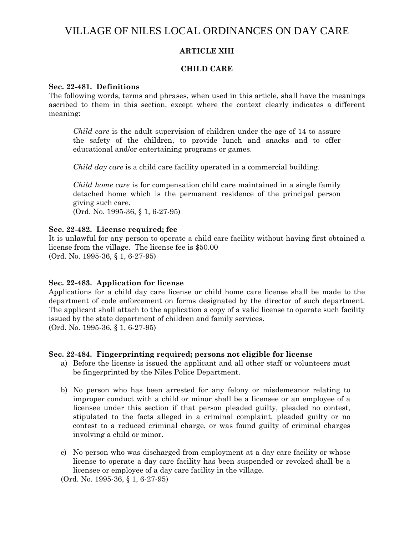# VILLAGE OF NILES LOCAL ORDINANCES ON DAY CARE

# **ARTICLE XIII**

## **CHILD CARE**

#### **Sec. 22-481. Definitions**

The following words, terms and phrases, when used in this article, shall have the meanings ascribed to them in this section, except where the context clearly indicates a different meaning:

*Child care* is the adult supervision of children under the age of 14 to assure the safety of the children, to provide lunch and snacks and to offer educational and/or entertaining programs or games.

*Child day care* is a child care facility operated in a commercial building.

*Child home care* is for compensation child care maintained in a single family detached home which is the permanent residence of the principal person giving such care. (Ord. No. 1995-36, § 1, 6-27-95)

**Sec. 22-482. License required; fee**

It is unlawful for any person to operate a child care facility without having first obtained a license from the village. The license fee is \$50.00 (Ord. No. 1995-36, § 1, 6-27-95)

#### **Sec. 22-483. Application for license**

Applications for a child day care license or child home care license shall be made to the department of code enforcement on forms designated by the director of such department. The applicant shall attach to the application a copy of a valid license to operate such facility issued by the state department of children and family services. (Ord. No. 1995-36, § 1, 6-27-95)

#### **Sec. 22-484. Fingerprinting required; persons not eligible for license**

- a) Before the license is issued the applicant and all other staff or volunteers must be fingerprinted by the Niles Police Department.
- b) No person who has been arrested for any felony or misdemeanor relating to improper conduct with a child or minor shall be a licensee or an employee of a licensee under this section if that person pleaded guilty, pleaded no contest, stipulated to the facts alleged in a criminal complaint, pleaded guilty or no contest to a reduced criminal charge, or was found guilty of criminal charges involving a child or minor.
- c) No person who was discharged from employment at a day care facility or whose license to operate a day care facility has been suspended or revoked shall be a licensee or employee of a day care facility in the village.

(Ord. No. 1995-36, § 1, 6-27-95)